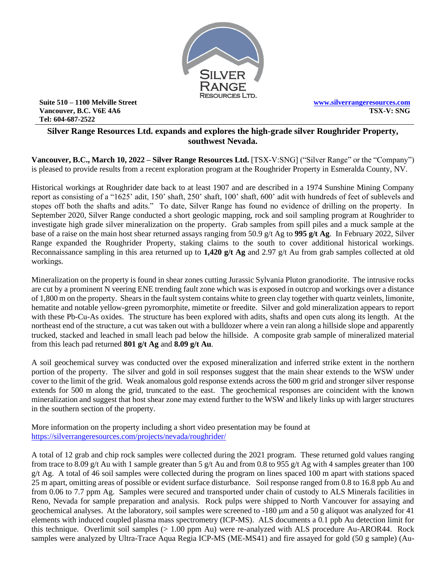

**Suite 510 – 1100 Melville Street Vancouver, B.C. V6E 4A6 Tel: 604-687-2522**

**[www.silverrangeresources.com](http://www.silverrangeresources.com/) TSX-V: SNG**

# **Silver Range Resources Ltd. expands and explores the high-grade silver Roughrider Property, southwest Nevada.**

**Vancouver, B.C., March 10, 2022 – Silver Range Resources Ltd.** [TSX-V:SNG] ("Silver Range" or the "Company") is pleased to provide results from a recent exploration program at the Roughrider Property in Esmeralda County, NV.

Historical workings at Roughrider date back to at least 1907 and are described in a 1974 Sunshine Mining Company report as consisting of a "1625' adit, 150' shaft, 250' shaft, 100' shaft, 600' adit with hundreds of feet of sublevels and stopes off both the shafts and adits." To date, Silver Range has found no evidence of drilling on the property. In September 2020, Silver Range conducted a short geologic mapping, rock and soil sampling program at Roughrider to investigate high grade silver mineralization on the property. Grab samples from spill piles and a muck sample at the base of a raise on the main host shear returned assays ranging from 50.9 g/t Ag to **995 g/t Ag**. In February 2022, Silver Range expanded the Roughrider Property, staking claims to the south to cover additional historical workings. Reconnaissance sampling in this area returned up to **1,420 g/t Ag** and 2.97 g/t Au from grab samples collected at old workings.

Mineralization on the property is found in shear zones cutting Jurassic Sylvania Pluton granodiorite. The intrusive rocks are cut by a prominent N veering ENE trending fault zone which was is exposed in outcrop and workings over a distance of 1,800 m on the property. Shears in the fault system contains white to green clay together with quartz veinlets, limonite, hematite and notable yellow-green pyromorphite, mimetite or freedite. Silver and gold mineralization appears to report with these Pb-Cu-As oxides. The structure has been explored with adits, shafts and open cuts along its length. At the northeast end of the structure, a cut was taken out with a bulldozer where a vein ran along a hillside slope and apparently trucked, stacked and leached in small leach pad below the hillside. A composite grab sample of mineralized material from this leach pad returned **801 g/t Ag** and **8.09 g/t Au**.

A soil geochemical survey was conducted over the exposed mineralization and inferred strike extent in the northern portion of the property. The silver and gold in soil responses suggest that the main shear extends to the WSW under cover to the limit of the grid. Weak anomalous gold response extends across the 600 m grid and stronger silver response extends for 500 m along the grid, truncated to the east. The geochemical responses are coincident with the known mineralization and suggest that host shear zone may extend further to the WSW and likely links up with larger structures in the southern section of the property.

More information on the property including a short video presentation may be found at <https://silverrangeresources.com/projects/nevada/roughrider/>

A total of 12 grab and chip rock samples were collected during the 2021 program. These returned gold values ranging from trace to 8.09 g/t Au with 1 sample greater than 5 g/t Au and from 0.8 to 955 g/t Ag with 4 samples greater than 100  $g/t$  Ag. A total of 46 soil samples were collected during the program on lines spaced 100 m apart with stations spaced 25 m apart, omitting areas of possible or evident surface disturbance. Soil response ranged from 0.8 to 16.8 ppb Au and from 0.06 to 7.7 ppm Ag. Samples were secured and transported under chain of custody to ALS Minerals facilities in Reno, Nevada for sample preparation and analysis. Rock pulps were shipped to North Vancouver for assaying and geochemical analyses. At the laboratory, soil samples were screened to -180  $\mu$ m and a 50 g aliquot was analyzed for 41 elements with induced coupled plasma mass spectrometry (ICP-MS). ALS documents a 0.1 ppb Au detection limit for this technique. Overlimit soil samples (> 1.00 ppm Au) were re-analyzed with ALS procedure Au-AROR44. Rock samples were analyzed by Ultra-Trace Aqua Regia ICP-MS (ME-MS41) and fire assayed for gold (50 g sample) (Au